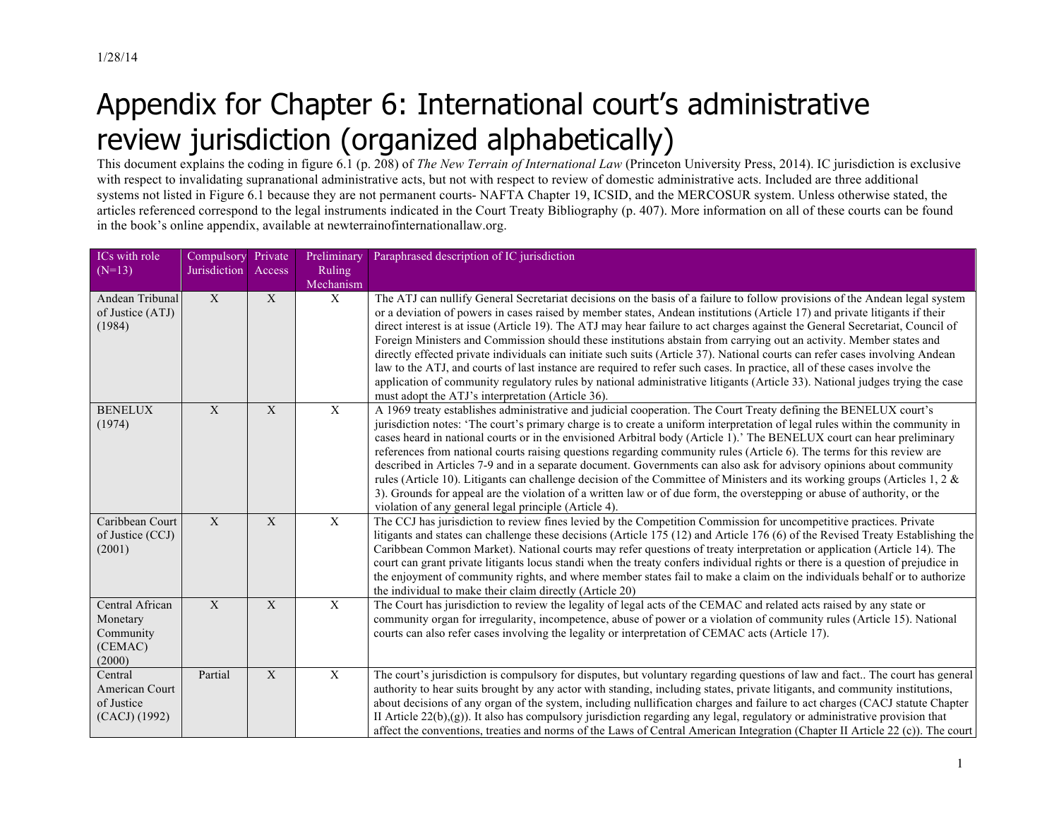## Appendix for Chapter 6: International court's administrative review jurisdiction (organized alphabetically)

This document explains the coding in figure 6.1 (p. 208) of *The New Terrain of International Law* (Princeton University Press, 2014). IC jurisdiction is exclusive with respect to invalidating supranational administrative acts, but not with respect to review of domestic administrative acts. Included are three additional systems not listed in Figure 6.1 because they are not permanent courts- NAFTA Chapter 19, ICSID, and the MERCOSUR system. Unless otherwise stated, the articles referenced correspond to the legal instruments indicated in the Court Treaty Bibliography (p. 407). More information on all of these courts can be found in the book's online appendix, available at newterrainofinternationallaw.org.

| ICs with role<br>$(N=13)$                                     | Compulsory Private<br>Jurisdiction | Access      | Preliminary<br><b>Ruling</b><br>Mechanism | Paraphrased description of IC jurisdiction                                                                                                                                                                                                                                                                                                                                                                                                                                                                                                                                                                                                                                                                                                                                                                                                                                                                                                                          |
|---------------------------------------------------------------|------------------------------------|-------------|-------------------------------------------|---------------------------------------------------------------------------------------------------------------------------------------------------------------------------------------------------------------------------------------------------------------------------------------------------------------------------------------------------------------------------------------------------------------------------------------------------------------------------------------------------------------------------------------------------------------------------------------------------------------------------------------------------------------------------------------------------------------------------------------------------------------------------------------------------------------------------------------------------------------------------------------------------------------------------------------------------------------------|
| Andean Tribunal<br>of Justice (ATJ)<br>(1984)                 | X                                  | X           | $\mathbf{X}$                              | The ATJ can nullify General Secretariat decisions on the basis of a failure to follow provisions of the Andean legal system<br>or a deviation of powers in cases raised by member states, Andean institutions (Article 17) and private litigants if their<br>direct interest is at issue (Article 19). The ATJ may hear failure to act charges against the General Secretariat, Council of<br>Foreign Ministers and Commission should these institutions abstain from carrying out an activity. Member states and<br>directly effected private individuals can initiate such suits (Article 37). National courts can refer cases involving Andean<br>law to the ATJ, and courts of last instance are required to refer such cases. In practice, all of these cases involve the<br>application of community regulatory rules by national administrative litigants (Article 33). National judges trying the case<br>must adopt the ATJ's interpretation (Article 36). |
| <b>BENELUX</b><br>(1974)                                      | X                                  | X           | $\mathbf{X}$                              | A 1969 treaty establishes administrative and judicial cooperation. The Court Treaty defining the BENELUX court's<br>jurisdiction notes: 'The court's primary charge is to create a uniform interpretation of legal rules within the community in<br>cases heard in national courts or in the envisioned Arbitral body (Article 1).' The BENELUX court can hear preliminary<br>references from national courts raising questions regarding community rules (Article 6). The terms for this review are<br>described in Articles 7-9 and in a separate document. Governments can also ask for advisory opinions about community<br>rules (Article 10). Litigants can challenge decision of the Committee of Ministers and its working groups (Articles 1, 2 $\&$<br>3). Grounds for appeal are the violation of a written law or of due form, the overstepping or abuse of authority, or the<br>violation of any general legal principle (Article 4).                  |
| Caribbean Court<br>of Justice (CCJ)<br>(2001)                 | $\mathbf X$                        | $\mathbf X$ | $\overline{X}$                            | The CCJ has jurisdiction to review fines levied by the Competition Commission for uncompetitive practices. Private<br>litigants and states can challenge these decisions (Article 175 (12) and Article 176 (6) of the Revised Treaty Establishing the<br>Caribbean Common Market). National courts may refer questions of treaty interpretation or application (Article 14). The<br>court can grant private litigants locus standi when the treaty confers individual rights or there is a question of prejudice in<br>the enjoyment of community rights, and where member states fail to make a claim on the individuals behalf or to authorize<br>the individual to make their claim directly (Article 20)                                                                                                                                                                                                                                                        |
| Central African<br>Monetary<br>Community<br>(CEMAC)<br>(2000) | $\mathbf X$                        | X           | $\mathbf X$                               | The Court has jurisdiction to review the legality of legal acts of the CEMAC and related acts raised by any state or<br>community organ for irregularity, incompetence, abuse of power or a violation of community rules (Article 15). National<br>courts can also refer cases involving the legality or interpretation of CEMAC acts (Article 17).                                                                                                                                                                                                                                                                                                                                                                                                                                                                                                                                                                                                                 |
| Central<br>American Court<br>of Justice<br>(CACJ) (1992)      | Partial                            | X           | $\mathbf X$                               | The court's jurisdiction is compulsory for disputes, but voluntary regarding questions of law and fact The court has general<br>authority to hear suits brought by any actor with standing, including states, private litigants, and community institutions,<br>about decisions of any organ of the system, including nullification charges and failure to act charges (CACJ statute Chapter<br>II Article $22(b)(g)$ ). It also has compulsory jurisdiction regarding any legal, regulatory or administrative provision that<br>affect the conventions, treaties and norms of the Laws of Central American Integration (Chapter II Article 22 (c)). The court                                                                                                                                                                                                                                                                                                      |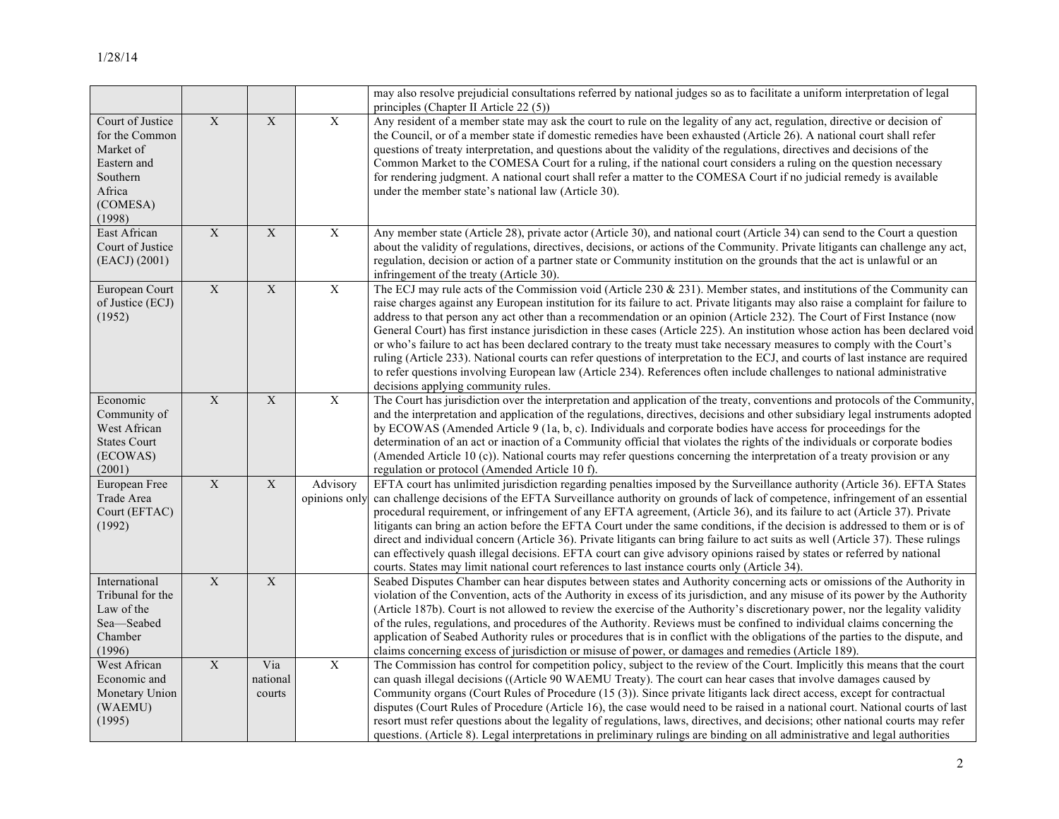|                                                                                                            |                         |                           |                           | may also resolve prejudicial consultations referred by national judges so as to facilitate a uniform interpretation of legal<br>principles (Chapter II Article 22 (5))                                                                                                                                                                                                                                                                                                                                                                                                                                                                                                                                                                                                                                                                                                                                                                                        |
|------------------------------------------------------------------------------------------------------------|-------------------------|---------------------------|---------------------------|---------------------------------------------------------------------------------------------------------------------------------------------------------------------------------------------------------------------------------------------------------------------------------------------------------------------------------------------------------------------------------------------------------------------------------------------------------------------------------------------------------------------------------------------------------------------------------------------------------------------------------------------------------------------------------------------------------------------------------------------------------------------------------------------------------------------------------------------------------------------------------------------------------------------------------------------------------------|
| Court of Justice<br>for the Common<br>Market of<br>Eastern and<br>Southern<br>Africa<br>(COMESA)<br>(1998) | $\mathbf X$             | $\mathbf X$               | $\mathbf X$               | Any resident of a member state may ask the court to rule on the legality of any act, regulation, directive or decision of<br>the Council, or of a member state if domestic remedies have been exhausted (Article 26). A national court shall refer<br>questions of treaty interpretation, and questions about the validity of the regulations, directives and decisions of the<br>Common Market to the COMESA Court for a ruling, if the national court considers a ruling on the question necessary<br>for rendering judgment. A national court shall refer a matter to the COMESA Court if no judicial remedy is available<br>under the member state's national law (Article 30).                                                                                                                                                                                                                                                                           |
| East African<br>Court of Justice<br>(EACJ) (2001)                                                          | $\overline{X}$          | $\overline{X}$            | $\overline{X}$            | Any member state (Article 28), private actor (Article 30), and national court (Article 34) can send to the Court a question<br>about the validity of regulations, directives, decisions, or actions of the Community. Private litigants can challenge any act,<br>regulation, decision or action of a partner state or Community institution on the grounds that the act is unlawful or an<br>infringement of the treaty (Article 30).                                                                                                                                                                                                                                                                                                                                                                                                                                                                                                                        |
| European Court<br>of Justice (ECJ)<br>(1952)                                                               | $\mathbf X$             | $\mathbf X$               | $\mathbf X$               | The ECJ may rule acts of the Commission void (Article 230 & 231). Member states, and institutions of the Community can<br>raise charges against any European institution for its failure to act. Private litigants may also raise a complaint for failure to<br>address to that person any act other than a recommendation or an opinion (Article 232). The Court of First Instance (now<br>General Court) has first instance jurisdiction in these cases (Article 225). An institution whose action has been declared void<br>or who's failure to act has been declared contrary to the treaty must take necessary measures to comply with the Court's<br>ruling (Article 233). National courts can refer questions of interpretation to the ECJ, and courts of last instance are required<br>to refer questions involving European law (Article 234). References often include challenges to national administrative<br>decisions applying community rules. |
| Economic<br>Community of<br>West African<br><b>States Court</b><br>(ECOWAS)<br>(2001)                      | $\overline{\mathbf{X}}$ | $\mathbf X$               | $\overline{X}$            | The Court has jurisdiction over the interpretation and application of the treaty, conventions and protocols of the Community,<br>and the interpretation and application of the regulations, directives, decisions and other subsidiary legal instruments adopted<br>by ECOWAS (Amended Article 9 (1a, b, c). Individuals and corporate bodies have access for proceedings for the<br>determination of an act or inaction of a Community official that violates the rights of the individuals or corporate bodies<br>(Amended Article 10 (c)). National courts may refer questions concerning the interpretation of a treaty provision or any<br>regulation or protocol (Amended Article 10 f).                                                                                                                                                                                                                                                                |
| European Free<br>Trade Area<br>Court (EFTAC)<br>(1992)                                                     | $\overline{\mathbf{X}}$ | $\overline{\mathbf{X}}$   | Advisory<br>opinions only | EFTA court has unlimited jurisdiction regarding penalties imposed by the Surveillance authority (Article 36). EFTA States<br>can challenge decisions of the EFTA Surveillance authority on grounds of lack of competence, infringement of an essential<br>procedural requirement, or infringement of any EFTA agreement, (Article 36), and its failure to act (Article 37). Private<br>litigants can bring an action before the EFTA Court under the same conditions, if the decision is addressed to them or is of<br>direct and individual concern (Article 36). Private litigants can bring failure to act suits as well (Article 37). These rulings<br>can effectively quash illegal decisions. EFTA court can give advisory opinions raised by states or referred by national<br>courts. States may limit national court references to last instance courts only (Article 34).                                                                           |
| International<br>Tribunal for the<br>Law of the<br>Sea-Seabed<br>Chamber<br>(1996)                         | $\overline{X}$          | $\overline{X}$            |                           | Seabed Disputes Chamber can hear disputes between states and Authority concerning acts or omissions of the Authority in<br>violation of the Convention, acts of the Authority in excess of its jurisdiction, and any misuse of its power by the Authority<br>(Article 187b). Court is not allowed to review the exercise of the Authority's discretionary power, nor the legality validity<br>of the rules, regulations, and procedures of the Authority. Reviews must be confined to individual claims concerning the<br>application of Seabed Authority rules or procedures that is in conflict with the obligations of the parties to the dispute, and<br>claims concerning excess of jurisdiction or misuse of power, or damages and remedies (Article 189).                                                                                                                                                                                              |
| West African<br>Economic and<br>Monetary Union<br>(WAEMU)<br>(1995)                                        | $\overline{\mathbf{X}}$ | Via<br>national<br>courts | $\overline{X}$            | The Commission has control for competition policy, subject to the review of the Court. Implicitly this means that the court<br>can quash illegal decisions ((Article 90 WAEMU Treaty). The court can hear cases that involve damages caused by<br>Community organs (Court Rules of Procedure (15 (3)). Since private litigants lack direct access, except for contractual<br>disputes (Court Rules of Procedure (Article 16), the case would need to be raised in a national court. National courts of last<br>resort must refer questions about the legality of regulations, laws, directives, and decisions; other national courts may refer<br>questions. (Article 8). Legal interpretations in preliminary rulings are binding on all administrative and legal authorities                                                                                                                                                                                |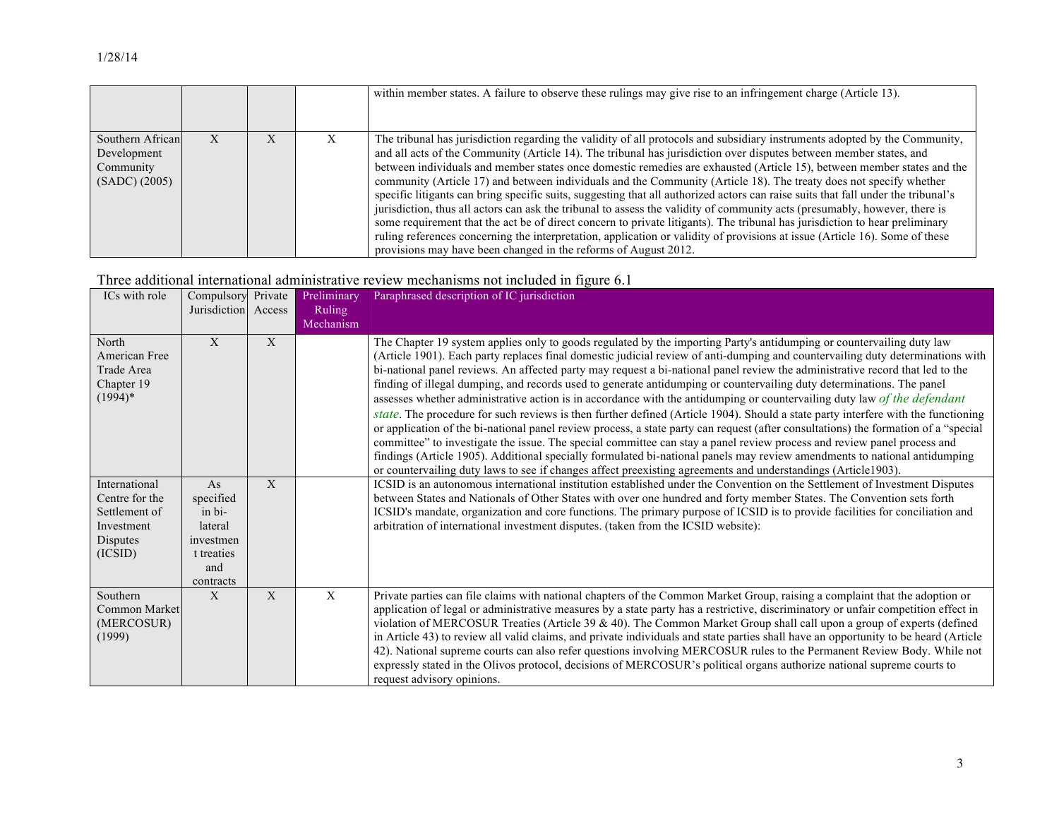|                                                               |  |   | within member states. A failure to observe these rulings may give rise to an infringement charge (Article 13).                                                                                                                                                                                                                                                                                                                                                                                                                                                                                                                                                                                                                                                                                                                                                                                                                                                                                                                                                                                       |
|---------------------------------------------------------------|--|---|------------------------------------------------------------------------------------------------------------------------------------------------------------------------------------------------------------------------------------------------------------------------------------------------------------------------------------------------------------------------------------------------------------------------------------------------------------------------------------------------------------------------------------------------------------------------------------------------------------------------------------------------------------------------------------------------------------------------------------------------------------------------------------------------------------------------------------------------------------------------------------------------------------------------------------------------------------------------------------------------------------------------------------------------------------------------------------------------------|
| Southern African<br>Development<br>Community<br>(SADC) (2005) |  | X | The tribunal has jurisdiction regarding the validity of all protocols and subsidiary instruments adopted by the Community,<br>and all acts of the Community (Article 14). The tribunal has jurisdiction over disputes between member states, and<br>between individuals and member states once domestic remedies are exhausted (Article 15), between member states and the<br>community (Article 17) and between individuals and the Community (Article 18). The treaty does not specify whether<br>specific litigants can bring specific suits, suggesting that all authorized actors can raise suits that fall under the tribunal's<br>jurisdiction, thus all actors can ask the tribunal to assess the validity of community acts (presumably, however, there is<br>some requirement that the act be of direct concern to private litigants). The tribunal has jurisdiction to hear preliminary<br>ruling references concerning the interpretation, application or validity of provisions at issue (Article 16). Some of these<br>provisions may have been changed in the reforms of August 2012. |

## Three additional international administrative review mechanisms not included in figure 6.1

| ICs with role                                                                         | Compulsory Private<br>Jurisdiction Access                                           |   | Preliminary<br><b>Ruling</b><br>Mechanism | Paraphrased description of IC jurisdiction                                                                                                                                                                                                                                                                                                                                                                                                                                                                                                                                                                                                                                                                                                                                                                                                                                                                                                                                                                                                                                                                                                                                                                                                                                                         |
|---------------------------------------------------------------------------------------|-------------------------------------------------------------------------------------|---|-------------------------------------------|----------------------------------------------------------------------------------------------------------------------------------------------------------------------------------------------------------------------------------------------------------------------------------------------------------------------------------------------------------------------------------------------------------------------------------------------------------------------------------------------------------------------------------------------------------------------------------------------------------------------------------------------------------------------------------------------------------------------------------------------------------------------------------------------------------------------------------------------------------------------------------------------------------------------------------------------------------------------------------------------------------------------------------------------------------------------------------------------------------------------------------------------------------------------------------------------------------------------------------------------------------------------------------------------------|
| North<br>American Free<br>Trade Area<br>Chapter 19<br>$(1994)*$                       | X                                                                                   | X |                                           | The Chapter 19 system applies only to goods regulated by the importing Party's antidumping or countervailing duty law<br>(Article 1901). Each party replaces final domestic judicial review of anti-dumping and countervailing duty determinations with<br>bi-national panel reviews. An affected party may request a bi-national panel review the administrative record that led to the<br>finding of illegal dumping, and records used to generate antidumping or countervailing duty determinations. The panel<br>assesses whether administrative action is in accordance with the antidumping or countervailing duty law of the defendant<br>state. The procedure for such reviews is then further defined (Article 1904). Should a state party interfere with the functioning<br>or application of the bi-national panel review process, a state party can request (after consultations) the formation of a "special<br>committee" to investigate the issue. The special committee can stay a panel review process and review panel process and<br>findings (Article 1905). Additional specially formulated bi-national panels may review amendments to national antidumping<br>or countervailing duty laws to see if changes affect preexisting agreements and understandings (Article1903). |
| International<br>Centre for the<br>Settlement of<br>Investment<br>Disputes<br>(ICSID) | As<br>specified<br>in bi-<br>lateral<br>investmen<br>t treaties<br>and<br>contracts | X |                                           | ICSID is an autonomous international institution established under the Convention on the Settlement of Investment Disputes<br>between States and Nationals of Other States with over one hundred and forty member States. The Convention sets forth<br>ICSID's mandate, organization and core functions. The primary purpose of ICSID is to provide facilities for conciliation and<br>arbitration of international investment disputes. (taken from the ICSID website):                                                                                                                                                                                                                                                                                                                                                                                                                                                                                                                                                                                                                                                                                                                                                                                                                           |
| Southern<br>Common Market<br>(MERCOSUR)<br>(1999)                                     | X                                                                                   | X | X                                         | Private parties can file claims with national chapters of the Common Market Group, raising a complaint that the adoption or<br>application of legal or administrative measures by a state party has a restrictive, discriminatory or unfair competition effect in<br>violation of MERCOSUR Treaties (Article 39 & 40). The Common Market Group shall call upon a group of experts (defined<br>in Article 43) to review all valid claims, and private individuals and state parties shall have an opportunity to be heard (Article<br>42). National supreme courts can also refer questions involving MERCOSUR rules to the Permanent Review Body. While not<br>expressly stated in the Olivos protocol, decisions of MERCOSUR's political organs authorize national supreme courts to<br>request advisory opinions.                                                                                                                                                                                                                                                                                                                                                                                                                                                                                |